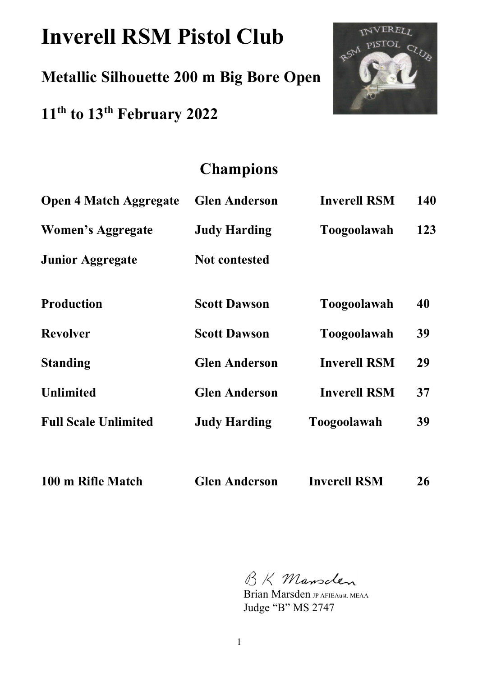# **Inverell RSM Pistol Club**

# **Metallic Silhouette 200 m Big Bore Open**

# **11th to 13th February 2022**



## **Champions**

| <b>Open 4 Match Aggregate</b> | <b>Glen Anderson</b> | <b>Inverell RSM</b> | 140 |
|-------------------------------|----------------------|---------------------|-----|
| Women's Aggregate             | <b>Judy Harding</b>  | Toogoolawah         | 123 |
| <b>Junior Aggregate</b>       | <b>Not contested</b> |                     |     |
| <b>Production</b>             | <b>Scott Dawson</b>  | <b>Toogoolawah</b>  | 40  |
| <b>Revolver</b>               | <b>Scott Dawson</b>  | <b>Toogoolawah</b>  | 39  |
| <b>Standing</b>               | <b>Glen Anderson</b> | <b>Inverell RSM</b> | 29  |
| <b>Unlimited</b>              | <b>Glen Anderson</b> | <b>Inverell RSM</b> | 37  |
| <b>Full Scale Unlimited</b>   | <b>Judy Harding</b>  | Toogoolawah         | 39  |
|                               |                      |                     |     |

**100 m Rifle Match Glen Anderson Inverell RSM 26** 

BK Mansclen

Brian Marsden JP AFIEAust. MEAA Judge "B" MS 2747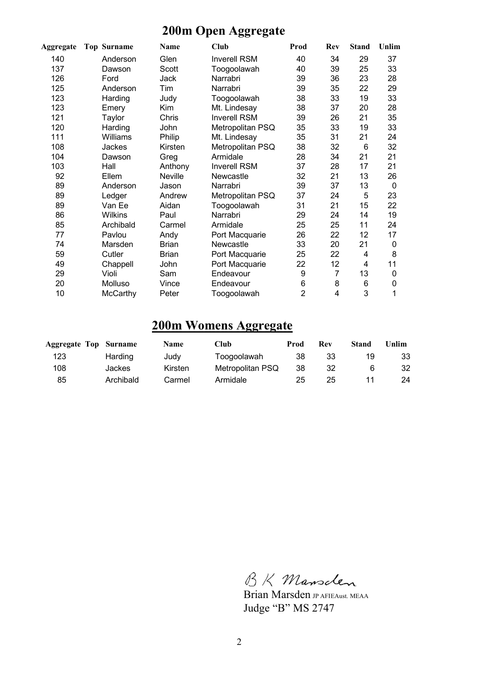#### **200m Open Aggregate**

| Aggregate | <b>Top Surname</b> | Name         | <b>Club</b>         | Prod           | <b>Rev</b> | <b>Stand</b> | Unlim |
|-----------|--------------------|--------------|---------------------|----------------|------------|--------------|-------|
| 140       | Anderson           | Glen         | <b>Inverell RSM</b> | 40             | 34         | 29           | 37    |
| 137       | Dawson             | Scott        | Toogoolawah         | 40             | 39         | 25           | 33    |
| 126       | Ford               | Jack         | Narrabri            | 39             | 36         | 23           | 28    |
| 125       | Anderson           | Tim          | Narrabri            | 39             | 35         | 22           | 29    |
| 123       | Harding            | Judy         | Toogoolawah         | 38             | 33         | 19           | 33    |
| 123       | Emery              | Kim          | Mt. Lindesay        | 38             | 37         | 20           | 28    |
| 121       | Taylor             | Chris        | <b>Inverell RSM</b> | 39             | 26         | 21           | 35    |
| 120       | Harding            | John         | Metropolitan PSQ    | 35             | 33         | 19           | 33    |
| 111       | Williams           | Philip       | Mt. Lindesay        | 35             | 31         | 21           | 24    |
| 108       | Jackes             | Kirsten      | Metropolitan PSQ    | 38             | 32         | 6            | 32    |
| 104       | Dawson             | Greg         | Armidale            | 28             | 34         | 21           | 21    |
| 103       | Hall               | Anthony      | <b>Inverell RSM</b> | 37             | 28         | 17           | 21    |
| 92        | Ellem              | Neville      | Newcastle           | 32             | 21         | 13           | 26    |
| 89        | Anderson           | Jason        | Narrabri            | 39             | 37         | 13           | 0     |
| 89        | Ledger             | Andrew       | Metropolitan PSQ    | 37             | 24         | 5            | 23    |
| 89        | Van Ee             | Aidan        | Toogoolawah         | 31             | 21         | 15           | 22    |
| 86        | Wilkins            | Paul         | Narrabri            | 29             | 24         | 14           | 19    |
| 85        | Archibald          | Carmel       | Armidale            | 25             | 25         | 11           | 24    |
| 77        | Pavlou             | Andy         | Port Macquarie      | 26             | 22         | 12           | 17    |
| 74        | Marsden            | <b>Brian</b> | Newcastle           | 33             | 20         | 21           | 0     |
| 59        | Cutler             | <b>Brian</b> | Port Macquarie      | 25             | 22         | 4            | 8     |
| 49        | Chappell           | John         | Port Macquarie      | 22             | 12         | 4            | 11    |
| 29        | Violi              | Sam          | Endeavour           | 9              | 7          | 13           | 0     |
| 20        | Molluso            | Vince        | Endeavour           | 6              | 8          | 6            | 0     |
| 10        | <b>McCarthy</b>    | Peter        | Toogoolawah         | $\overline{2}$ | 4          | 3            | 1     |

## **200m Womens Aggregate**

| <b>Aggregate Top Surname</b> |           | <b>Name</b> | Club             | Prod | Rev | Stand | Unlim |
|------------------------------|-----------|-------------|------------------|------|-----|-------|-------|
| 123                          | Harding   | Judy        | Toogoolawah      | 38   | 33  | 19    | 33    |
| 108                          | Jackes    | Kirsten     | Metropolitan PSQ | 38   | 32  |       | 32    |
| 85                           | Archibald | Carmel      | Armidale         | 25   | 25  |       | 24    |

BK Mansclen

Brian Marsden JP AFIEAust. MEAA Judge "B" MS 2747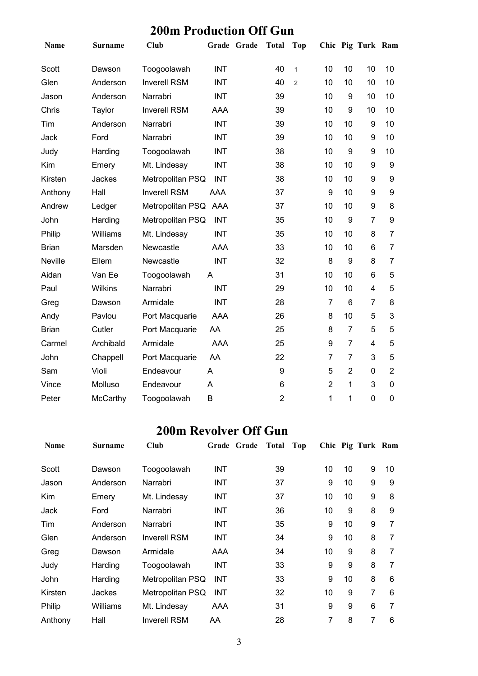#### **200m Production Off Gun**

| Name           | <b>Surname</b> | <b>Club</b>          | Grade Grade | <b>Total</b>   | Top            |                |                | Chic Pig Turk Ram |                |
|----------------|----------------|----------------------|-------------|----------------|----------------|----------------|----------------|-------------------|----------------|
| Scott          | Dawson         | Toogoolawah          | <b>INT</b>  | 40             | $\mathbf{1}$   | 10             | 10             | 10                | 10             |
| Glen           | Anderson       | <b>Inverell RSM</b>  | <b>INT</b>  | 40             | $\overline{2}$ | 10             | 10             | 10                | 10             |
| Jason          | Anderson       | Narrabri             | <b>INT</b>  | 39             |                | 10             | 9              | 10                | 10             |
| Chris          | Taylor         | <b>Inverell RSM</b>  | <b>AAA</b>  | 39             |                | 10             | 9              | 10                | 10             |
| Tim            | Anderson       | Narrabri             | <b>INT</b>  | 39             |                | 10             | 10             | 9                 | 10             |
| Jack           | Ford           | Narrabri             | <b>INT</b>  | 39             |                | 10             | 10             | 9                 | 10             |
| Judy           | Harding        | Toogoolawah          | <b>INT</b>  | 38             |                | 10             | 9              | 9                 | 10             |
| Kim            | Emery          | Mt. Lindesay         | <b>INT</b>  | 38             |                | 10             | 10             | 9                 | 9              |
| Kirsten        | Jackes         | Metropolitan PSQ     | <b>INT</b>  | 38             |                | 10             | 10             | 9                 | 9              |
| Anthony        | Hall           | <b>Inverell RSM</b>  | <b>AAA</b>  | 37             |                | 9              | 10             | 9                 | 9              |
| Andrew         | Ledger         | Metropolitan PSQ AAA |             | 37             |                | 10             | 10             | 9                 | 8              |
| John           | Harding        | Metropolitan PSQ     | <b>INT</b>  | 35             |                | 10             | 9              | $\overline{7}$    | 9              |
| Philip         | Williams       | Mt. Lindesay         | <b>INT</b>  | 35             |                | 10             | 10             | 8                 | $\overline{7}$ |
| <b>Brian</b>   | Marsden        | Newcastle            | AAA         | 33             |                | 10             | 10             | 6                 | $\overline{7}$ |
| <b>Neville</b> | Ellem          | Newcastle            | <b>INT</b>  | 32             |                | 8              | 9              | 8                 | $\overline{7}$ |
| Aidan          | Van Ee         | Toogoolawah          | A           | 31             |                | 10             | 10             | 6                 | 5              |
| Paul           | <b>Wilkins</b> | Narrabri             | <b>INT</b>  | 29             |                | 10             | 10             | 4                 | 5              |
| Greg           | Dawson         | Armidale             | <b>INT</b>  | 28             |                | $\overline{7}$ | $\,6$          | $\overline{7}$    | 8              |
| Andy           | Pavlou         | Port Macquarie       | AAA         | 26             |                | 8              | 10             | 5                 | 3              |
| <b>Brian</b>   | Cutler         | Port Macquarie       | AA          | 25             |                | 8              | 7              | 5                 | 5              |
| Carmel         | Archibald      | Armidale             | <b>AAA</b>  | 25             |                | 9              | $\overline{7}$ | $\overline{4}$    | 5              |
| John           | Chappell       | Port Macquarie       | AA          | 22             |                | $\overline{7}$ | $\overline{7}$ | 3                 | 5              |
| Sam            | Violi          | Endeavour            | Α           | 9              |                | 5              | $\overline{2}$ | $\Omega$          | $\overline{2}$ |
| Vince          | Molluso        | Endeavour            | Α           | 6              |                | $\overline{2}$ | 1              | 3                 | 0              |
| Peter          | McCarthy       | Toogoolawah          | B           | $\overline{2}$ |                | 1              | 1              | 0                 | 0              |

#### **200m Revolver Off Gun**

| Name    | <b>Surname</b> | Club                | Grade Grade | Total | Top |    |    | Chic Pig Turk Ram |    |
|---------|----------------|---------------------|-------------|-------|-----|----|----|-------------------|----|
| Scott   | Dawson         | Toogoolawah         | INT         | 39    |     | 10 | 10 | 9                 | 10 |
| Jason   | Anderson       | Narrabri            | INT         | 37    |     | 9  | 10 | 9                 | 9  |
| Kim     | Emery          | Mt. Lindesay        | <b>INT</b>  | 37    |     | 10 | 10 | 9                 | 8  |
| Jack    | Ford           | Narrabri            | INT         | 36    |     | 10 | 9  | 8                 | 9  |
| Tim     | Anderson       | Narrabri            | <b>INT</b>  | 35    |     | 9  | 10 | 9                 | 7  |
| Glen    | Anderson       | <b>Inverell RSM</b> | INT         | 34    |     | 9  | 10 | 8                 | 7  |
| Greg    | Dawson         | Armidale            | AAA         | 34    |     | 10 | 9  | 8                 | 7  |
| Judy    | Harding        | Toogoolawah         | INT         | 33    |     | 9  | 9  | 8                 | 7  |
| John    | Harding        | Metropolitan PSQ    | <b>INT</b>  | 33    |     | 9  | 10 | 8                 | 6  |
| Kirsten | Jackes         | Metropolitan PSQ    | <b>INT</b>  | 32    |     | 10 | 9  | 7                 | 6  |
| Philip  | Williams       | Mt. Lindesay        | AAA         | 31    |     | 9  | 9  | 6                 | 7  |
| Anthony | Hall           | <b>Inverell RSM</b> | AA          | 28    |     | 7  | 8  | 7                 | 6  |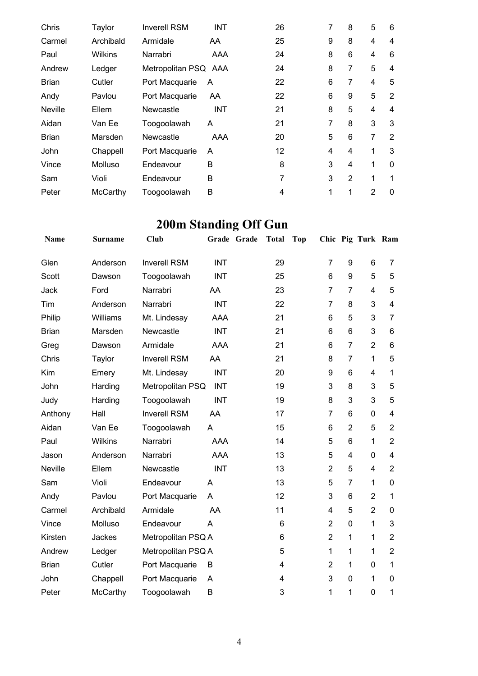| Chris          | Taylor    | <b>Inverell RSM</b>  | <b>INT</b> | 26 | 7 | 8              | 5              | 6        |
|----------------|-----------|----------------------|------------|----|---|----------------|----------------|----------|
| Carmel         | Archibald | Armidale             | AA         | 25 | 9 | 8              | 4              | 4        |
| Paul           | Wilkins   | Narrabri             | AAA        | 24 | 8 | 6              | 4              | 6        |
| Andrew         | Ledger    | Metropolitan PSQ AAA |            | 24 | 8 | 7              | 5              | 4        |
| <b>Brian</b>   | Cutler    | Port Macquarie       | A          | 22 | 6 | 7              | 4              | 5        |
| Andy           | Pavlou    | Port Macquarie       | AA         | 22 | 6 | 9              | 5              | 2        |
| <b>Neville</b> | Ellem     | Newcastle            | INT        | 21 | 8 | 5              | 4              | 4        |
| Aidan          | Van Ee    | Toogoolawah          | A          | 21 | 7 | 8              | 3              | 3        |
| <b>Brian</b>   | Marsden   | Newcastle            | AAA        | 20 | 5 | 6              | 7              | 2        |
| John           | Chappell  | Port Macquarie       | A          | 12 | 4 | 4              | 1              | 3        |
| Vince          | Molluso   | Endeavour            | B          | 8  | 3 | 4              | 1              | $\Omega$ |
| Sam            | Violi     | Endeavour            | B          | 7  | 3 | $\overline{2}$ | 1              | 1        |
| Peter          | McCarthy  | Toogoolawah          | B          | 4  | 1 | 1              | $\overline{2}$ | $\Omega$ |

# **200m Standing Off Gun**

| <b>Name</b>  | <b>Surname</b> | <b>Club</b>         |            | Grade Grade | <b>Total</b>             | Top |                |                | Chic Pig Turk Ram |                         |
|--------------|----------------|---------------------|------------|-------------|--------------------------|-----|----------------|----------------|-------------------|-------------------------|
| Glen         | Anderson       | <b>Inverell RSM</b> | <b>INT</b> |             | 29                       |     | $\overline{7}$ | 9              | 6                 | $\overline{7}$          |
| Scott        | Dawson         | Toogoolawah         | <b>INT</b> |             | 25                       |     | 6              | 9              | 5                 | 5                       |
| Jack         | Ford           | Narrabri            | AA         |             | 23                       |     | $\overline{7}$ | $\overline{7}$ | $\overline{4}$    | 5                       |
| Tim          | Anderson       | Narrabri            | <b>INT</b> |             | 22                       |     | 7              | 8              | 3                 | $\overline{\mathbf{4}}$ |
| Philip       | Williams       | Mt. Lindesay        | AAA        |             | 21                       |     | 6              | 5              | 3                 | $\overline{7}$          |
| <b>Brian</b> | Marsden        | Newcastle           | <b>INT</b> |             | 21                       |     | 6              | 6              | 3                 | 6                       |
| Greg         | Dawson         | Armidale            | AAA        |             | 21                       |     | 6              | $\overline{7}$ | $\overline{2}$    | $6\phantom{1}$          |
| Chris        | Taylor         | <b>Inverell RSM</b> | AA         |             | 21                       |     | 8              | $\overline{7}$ | $\mathbf{1}$      | 5                       |
| Kim          | Emery          | Mt. Lindesay        | <b>INT</b> |             | 20                       |     | 9              | 6              | 4                 | $\mathbf{1}$            |
| John         | Harding        | Metropolitan PSQ    | <b>INT</b> |             | 19                       |     | 3              | 8              | 3                 | 5                       |
| Judy         | Harding        | Toogoolawah         | <b>INT</b> |             | 19                       |     | 8              | 3              | 3                 | 5                       |
| Anthony      | Hall           | <b>Inverell RSM</b> | AA         |             | 17                       |     | $\overline{7}$ | 6              | $\overline{0}$    | $\overline{4}$          |
| Aidan        | Van Ee         | Toogoolawah         | A          |             | 15                       |     | 6              | $\overline{2}$ | 5                 | $\overline{2}$          |
| Paul         | <b>Wilkins</b> | Narrabri            | AAA        |             | 14                       |     | 5              | 6              | $\mathbf{1}$      | $\overline{2}$          |
| Jason        | Anderson       | Narrabri            | <b>AAA</b> |             | 13                       |     | 5              | 4              | 0                 | $\overline{4}$          |
| Neville      | Ellem          | Newcastle           | <b>INT</b> |             | 13                       |     | $\overline{2}$ | 5              | 4                 | $\overline{2}$          |
| Sam          | Violi          | Endeavour           | A          |             | 13                       |     | 5              | $\overline{7}$ | $\mathbf{1}$      | 0                       |
| Andy         | Pavlou         | Port Macquarie      | A          |             | 12                       |     | 3              | 6              | $\overline{2}$    | 1                       |
| Carmel       | Archibald      | Armidale            | AA         |             | 11                       |     | 4              | 5              | $\overline{2}$    | $\mathbf 0$             |
| Vince        | Molluso        | Endeavour           | A          |             | 6                        |     | $\overline{2}$ | 0              | $\mathbf{1}$      | 3                       |
| Kirsten      | Jackes         | Metropolitan PSQ A  |            |             | 6                        |     | $\overline{2}$ | $\mathbf 1$    | $\mathbf{1}$      | $\overline{2}$          |
| Andrew       | Ledger         | Metropolitan PSQ A  |            |             | 5                        |     | 1              | 1              | 1                 | $\overline{2}$          |
| <b>Brian</b> | Cutler         | Port Macquarie      | B          |             | $\overline{\mathcal{A}}$ |     | $\overline{2}$ | 1              | $\mathbf 0$       | $\mathbf{1}$            |
| John         | Chappell       | Port Macquarie      | A          |             | 4                        |     | 3              | 0              | 1                 | 0                       |
| Peter        | McCarthy       | Toogoolawah         | B          |             | 3                        |     | 1              | 1              | $\overline{0}$    | 1                       |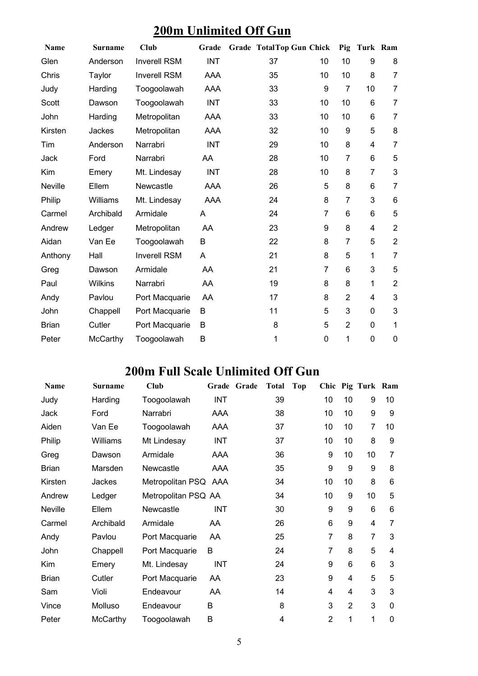#### **200m Unlimited Off Gun**

| <b>Name</b>    | <b>Surname</b> | <b>Club</b>         | Grade      | <b>Grade TotalTop Gun Chick</b> |                | Pig            | Turk Ram       |                 |
|----------------|----------------|---------------------|------------|---------------------------------|----------------|----------------|----------------|-----------------|
| Glen           | Anderson       | <b>Inverell RSM</b> | <b>INT</b> | 37                              | 10             | 10             | 9              | 8               |
| Chris          | Taylor         | <b>Inverell RSM</b> | <b>AAA</b> | 35                              | 10             | 10             | 8              | $\overline{7}$  |
| Judy           | Harding        | Toogoolawah         | AAA        | 33                              | 9              | $\overline{7}$ | 10             | $\overline{7}$  |
| Scott          | Dawson         | Toogoolawah         | <b>INT</b> | 33                              | 10             | 10             | 6              | $\overline{7}$  |
| John           | Harding        | Metropolitan        | AAA        | 33                              | 10             | 10             | 6              | $\overline{7}$  |
| Kirsten        | Jackes         | Metropolitan        | <b>AAA</b> | 32                              | 10             | 9              | 5              | 8               |
| Tim            | Anderson       | Narrabri            | <b>INT</b> | 29                              | 10             | 8              | 4              | $\overline{7}$  |
| Jack           | Ford           | Narrabri            | AA         | 28                              | 10             | 7              | 6              | 5               |
| Kim            | Emery          | Mt. Lindesay        | <b>INT</b> | 28                              | 10             | 8              | $\overline{7}$ | 3               |
| <b>Neville</b> | Ellem          | Newcastle           | AAA        | 26                              | 5              | 8              | 6              | $\overline{7}$  |
| Philip         | Williams       | Mt. Lindesay        | <b>AAA</b> | 24                              | 8              | 7              | 3              | $6\phantom{1}6$ |
| Carmel         | Archibald      | Armidale            | A          | 24                              | $\overline{7}$ | 6              | 6              | 5               |
| Andrew         | Ledger         | Metropolitan        | AA         | 23                              | 9              | 8              | $\overline{4}$ | $\overline{2}$  |
| Aidan          | Van Ee         | Toogoolawah         | B          | 22                              | 8              | $\overline{7}$ | 5              | $\overline{2}$  |
| Anthony        | Hall           | <b>Inverell RSM</b> | A          | 21                              | 8              | 5              | 1              | $\overline{7}$  |
| Greg           | Dawson         | Armidale            | AA         | 21                              | 7              | 6              | 3              | 5               |
| Paul           | Wilkins        | Narrabri            | AA         | 19                              | 8              | 8              | $\mathbf{1}$   | $\overline{2}$  |
| Andy           | Pavlou         | Port Macquarie      | AA         | 17                              | 8              | $\overline{2}$ | 4              | 3               |
| John           | Chappell       | Port Macquarie      | B          | 11                              | 5              | 3              | 0              | 3               |
| <b>Brian</b>   | Cutler         | Port Macquarie      | B          | 8                               | 5              | $\overline{2}$ | 0              | 1               |
| Peter          | McCarthy       | Toogoolawah         | B          | 1                               | $\mathbf 0$    | 1              | 0              | $\mathbf 0$     |

## **200m Full Scale Unlimited Off Gun**

| Name         | <b>Surname</b> | Club                 | Grade      | Grade | <b>Total</b>            | Top |                |                | Chic Pig Turk Ram |    |
|--------------|----------------|----------------------|------------|-------|-------------------------|-----|----------------|----------------|-------------------|----|
| Judy         | Harding        | Toogoolawah          | <b>INT</b> |       | 39                      |     | 10             | 10             | 9                 | 10 |
| Jack         | Ford           | Narrabri             | AAA        |       | 38                      |     | 10             | 10             | 9                 | 9  |
| Aiden        | Van Ee         | Toogoolawah          | AAA        |       | 37                      |     | 10             | 10             | $\overline{7}$    | 10 |
| Philip       | Williams       | Mt Lindesay          | <b>INT</b> |       | 37                      |     | 10             | 10             | 8                 | 9  |
| Greg         | Dawson         | Armidale             | AAA        |       | 36                      |     | 9              | 10             | 10                | 7  |
| <b>Brian</b> | Marsden        | Newcastle            | AAA        |       | 35                      |     | 9              | 9              | 9                 | 8  |
| Kirsten      | Jackes         | Metropolitan PSQ AAA |            |       | 34                      |     | 10             | 10             | 8                 | 6  |
| Andrew       | Ledger         | Metropolitan PSQ AA  |            |       | 34                      |     | 10             | 9              | 10                | 5  |
| Neville      | Ellem          | Newcastle            | <b>INT</b> |       | 30                      |     | 9              | 9              | 6                 | 6  |
| Carmel       | Archibald      | Armidale             | AA         |       | 26                      |     | 6              | 9              | 4                 | 7  |
| Andy         | Pavlou         | Port Macquarie       | AA         |       | 25                      |     | 7              | 8              | $\overline{7}$    | 3  |
| John         | Chappell       | Port Macquarie       | B          |       | 24                      |     | 7              | 8              | 5                 | 4  |
| Kim          | Emery          | Mt. Lindesay         | <b>INT</b> |       | 24                      |     | 9              | 6              | 6                 | 3  |
| <b>Brian</b> | Cutler         | Port Macquarie       | AA         |       | 23                      |     | 9              | 4              | 5                 | 5  |
| Sam          | Violi          | Endeavour            | AA         |       | 14                      |     | 4              | 4              | 3                 | 3  |
| Vince        | Molluso        | Endeavour            | B          |       | 8                       |     | 3              | $\overline{2}$ | 3                 | 0  |
| Peter        | McCarthy       | Toogoolawah          | B          |       | $\overline{\mathbf{4}}$ |     | $\overline{2}$ | 1              | 1                 | 0  |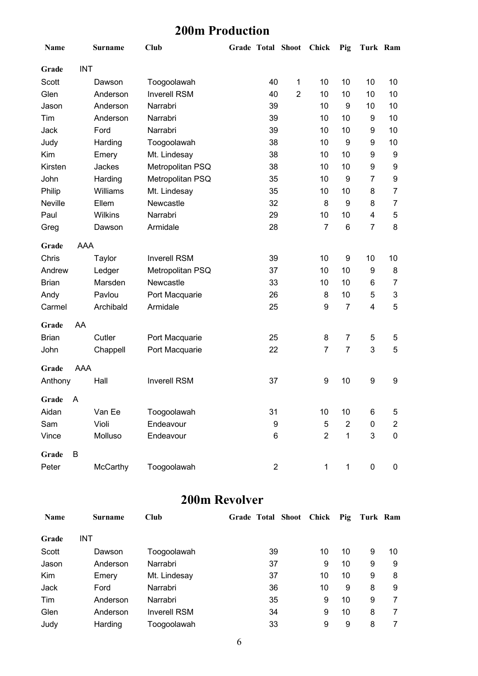#### **200m Production**

| Name         |            | <b>Surname</b>  | <b>Club</b>         | Grade Total Shoot |                |                | <b>Chick</b>   | Pig            | Turk Ram                |                |
|--------------|------------|-----------------|---------------------|-------------------|----------------|----------------|----------------|----------------|-------------------------|----------------|
| Grade        | <b>INT</b> |                 |                     |                   |                |                |                |                |                         |                |
| Scott        |            | Dawson          | Toogoolawah         |                   | 40             | 1              | 10             | 10             | 10                      | 10             |
| Glen         |            | Anderson        | <b>Inverell RSM</b> |                   | 40             | $\overline{2}$ | 10             | 10             | 10                      | 10             |
| Jason        |            | Anderson        | Narrabri            |                   | 39             |                | 10             | 9              | 10                      | 10             |
| Tim          |            | Anderson        | Narrabri            |                   | 39             |                | 10             | 10             | 9                       | 10             |
| Jack         |            | Ford            | Narrabri            |                   | 39             |                | 10             | 10             | 9                       | 10             |
| Judy         |            | Harding         | Toogoolawah         |                   | 38             |                | 10             | 9              | 9                       | 10             |
| Kim          |            | Emery           | Mt. Lindesay        |                   | 38             |                | 10             | 10             | 9                       | 9              |
| Kirsten      |            | Jackes          | Metropolitan PSQ    |                   | 38             |                | 10             | 10             | 9                       | 9              |
| John         |            | Harding         | Metropolitan PSQ    |                   | 35             |                | 10             | 9              | $\overline{7}$          | 9              |
| Philip       |            | Williams        | Mt. Lindesay        |                   | 35             |                | 10             | 10             | 8                       | $\overline{7}$ |
| Neville      |            | Ellem           | Newcastle           |                   | 32             |                | 8              | 9              | 8                       | 7              |
| Paul         |            | Wilkins         | Narrabri            |                   | 29             |                | 10             | 10             | $\overline{\mathbf{4}}$ | 5              |
| Greg         |            | Dawson          | Armidale            |                   | 28             |                | $\overline{7}$ | 6              | $\overline{7}$          | 8              |
| Grade        | AAA        |                 |                     |                   |                |                |                |                |                         |                |
| Chris        |            | Taylor          | <b>Inverell RSM</b> |                   | 39             |                | 10             | 9              | 10                      | 10             |
| Andrew       |            | Ledger          | Metropolitan PSQ    |                   | 37             |                | 10             | 10             | 9                       | 8              |
| <b>Brian</b> |            | Marsden         | Newcastle           |                   | 33             |                | 10             | 10             | 6                       | 7              |
| Andy         |            | Pavlou          | Port Macquarie      |                   | 26             |                | 8              | 10             | 5                       | 3              |
| Carmel       |            | Archibald       | Armidale            |                   | 25             |                | 9              | $\overline{7}$ | $\overline{\mathbf{4}}$ | 5              |
| Grade        | AA         |                 |                     |                   |                |                |                |                |                         |                |
| <b>Brian</b> |            | Cutler          | Port Macquarie      |                   | 25             |                | 8              | 7              | 5                       | 5              |
| John         |            | Chappell        | Port Macquarie      |                   | 22             |                | $\overline{7}$ | $\overline{7}$ | 3                       | 5              |
| Grade        | <b>AAA</b> |                 |                     |                   |                |                |                |                |                         |                |
| Anthony      |            | Hall            | <b>Inverell RSM</b> |                   | 37             |                | 9              | 10             | 9                       | 9              |
| Grade        | A          |                 |                     |                   |                |                |                |                |                         |                |
| Aidan        |            | Van Ee          | Toogoolawah         |                   | 31             |                | 10             | 10             | 6                       | 5              |
| Sam          |            | Violi           | Endeavour           |                   | 9              |                | 5              | $\overline{2}$ | 0                       | $\overline{2}$ |
| Vince        |            | Molluso         | Endeavour           |                   | 6              |                | $\overline{2}$ | $\mathbf 1$    | 3                       | 0              |
| Grade        | B          |                 |                     |                   |                |                |                |                |                         |                |
| Peter        |            | <b>McCarthy</b> | Toogoolawah         |                   | $\overline{c}$ |                | 1              | $\mathbf{1}$   | $\pmb{0}$               | 0              |

#### **200m Revolver**

| <b>Name</b> | Surname  | <b>Club</b>         | <b>Grade Total Shoot</b> | Chick | Pig | Turk Ram |    |
|-------------|----------|---------------------|--------------------------|-------|-----|----------|----|
| Grade       | INT      |                     |                          |       |     |          |    |
| Scott       | Dawson   | Toogoolawah         | 39                       | 10    | 10  | 9        | 10 |
| Jason       | Anderson | Narrabri            | 37                       | 9     | 10  | 9        | 9  |
| Kim         | Emery    | Mt. Lindesay        | 37                       | 10    | 10  | 9        | 8  |
| Jack        | Ford     | Narrabri            | 36                       | 10    | 9   | 8        | 9  |
| Tim         | Anderson | Narrabri            | 35                       | 9     | 10  | 9        | 7  |
| Glen        | Anderson | <b>Inverell RSM</b> | 34                       | 9     | 10  | 8        | 7  |
| Judy        | Harding  | Toogoolawah         | 33                       | 9     | 9   | 8        |    |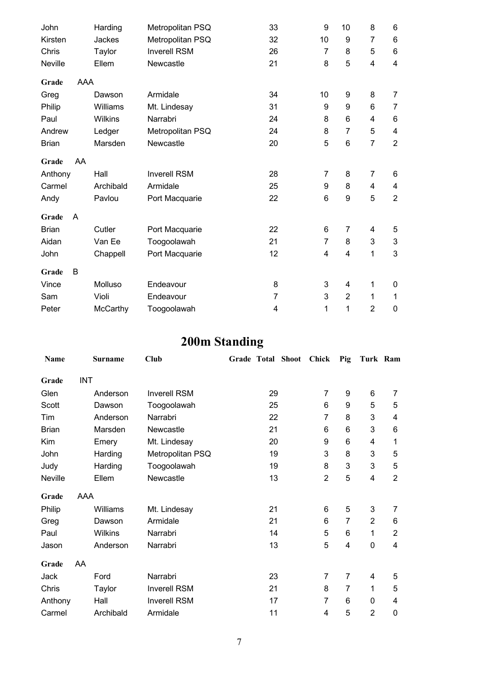| John         |     | Harding   | Metropolitan PSQ    | 33 | 9               | 10             | 8              | 6                         |
|--------------|-----|-----------|---------------------|----|-----------------|----------------|----------------|---------------------------|
| Kirsten      |     | Jackes    | Metropolitan PSQ    | 32 | 10              | 9              | $\overline{7}$ | 6                         |
| Chris        |     | Taylor    | <b>Inverell RSM</b> | 26 | $\overline{7}$  | 8              | 5              | 6                         |
| Neville      |     | Ellem     | Newcastle           | 21 | 8               | 5              | 4              | $\overline{\mathbf{4}}$   |
| Grade        | AAA |           |                     |    |                 |                |                |                           |
| Greg         |     | Dawson    | Armidale            | 34 | 10              | 9              | 8              | $\overline{7}$            |
| Philip       |     | Williams  | Mt. Lindesay        | 31 | 9               | 9              | 6              | $\overline{7}$            |
| Paul         |     | Wilkins   | Narrabri            | 24 | 8               | 6              | 4              | $\,6$                     |
| Andrew       |     | Ledger    | Metropolitan PSQ    | 24 | 8               | 7              | 5              | $\overline{\mathbf{4}}$   |
| <b>Brian</b> |     | Marsden   | Newcastle           | 20 | 5               | 6              | $\overline{7}$ | $\overline{2}$            |
| Grade        | AA  |           |                     |    |                 |                |                |                           |
| Anthony      |     | Hall      | <b>Inverell RSM</b> | 28 | $\overline{7}$  | 8              | $\overline{7}$ | 6                         |
| Carmel       |     | Archibald | Armidale            | 25 | 9               | 8              | 4              | $\overline{\mathbf{4}}$   |
| Andy         |     | Pavlou    | Port Macquarie      | 22 | $6\phantom{1}6$ | 9              | 5              | $\overline{2}$            |
| Grade        | A   |           |                     |    |                 |                |                |                           |
| <b>Brian</b> |     | Cutler    | Port Macquarie      | 22 | 6               | 7              | 4              | 5                         |
| Aidan        |     | Van Ee    | Toogoolawah         | 21 | $\overline{7}$  | 8              | 3              | $\ensuremath{\mathsf{3}}$ |
| John         |     | Chappell  | Port Macquarie      | 12 | 4               | 4              | 1              | 3                         |
| Grade        | B   |           |                     |    |                 |                |                |                           |
| Vince        |     | Molluso   | Endeavour           | 8  | 3               | 4              | 1              | 0                         |
| Sam          |     | Violi     | Endeavour           | 7  | 3               | $\overline{2}$ | 1              | 1                         |
| Peter        |     | McCarthy  | Toogoolawah         | 4  | 1               | 1              | $\overline{2}$ | $\mathbf 0$               |

# **200m Standing**

| <b>Name</b>  |            | <b>Surname</b> | Club                | Grade Total Shoot | Chick          | Pig | Turk Ram                |                |
|--------------|------------|----------------|---------------------|-------------------|----------------|-----|-------------------------|----------------|
| Grade        | <b>INT</b> |                |                     |                   |                |     |                         |                |
| Glen         |            | Anderson       | <b>Inverell RSM</b> | 29                | 7              | 9   | 6                       | 7              |
| Scott        |            | Dawson         | Toogoolawah         | 25                | 6              | 9   | 5                       | 5              |
| Tim          |            | Anderson       | Narrabri            | 22                | $\overline{7}$ | 8   | 3                       | 4              |
| <b>Brian</b> |            | Marsden        | Newcastle           | 21                | 6              | 6   | 3                       | 6              |
| Kim          |            | Emery          | Mt. Lindesay        | 20                | 9              | 6   | 4                       | 1              |
| John         |            | Harding        | Metropolitan PSQ    | 19                | 3              | 8   | 3                       | 5              |
| Judy         |            | Harding        | Toogoolawah         | 19                | 8              | 3   | 3                       | 5              |
| Neville      |            | Ellem          | Newcastle           | 13                | $\overline{2}$ | 5   | $\overline{\mathbf{4}}$ | $\overline{2}$ |
| Grade        | AAA        |                |                     |                   |                |     |                         |                |
| Philip       |            | Williams       | Mt. Lindesay        | 21                | 6              | 5   | 3                       | 7              |
| Greg         |            | Dawson         | Armidale            | 21                | 6              | 7   | $\overline{2}$          | 6              |
| Paul         |            | <b>Wilkins</b> | Narrabri            | 14                | 5              | 6   | 1                       | $\overline{2}$ |
| Jason        |            | Anderson       | Narrabri            | 13                | 5              | 4   | 0                       | 4              |
| Grade        | AA         |                |                     |                   |                |     |                         |                |
| Jack         |            | Ford           | Narrabri            | 23                | 7              | 7   | 4                       | 5              |
| Chris        |            | Taylor         | <b>Inverell RSM</b> | 21                | 8              | 7   | 1                       | 5              |
| Anthony      |            | Hall           | <b>Inverell RSM</b> | 17                | 7              | 6   | 0                       | 4              |
| Carmel       |            | Archibald      | Armidale            | 11                | 4              | 5   | $\overline{2}$          | $\mathbf 0$    |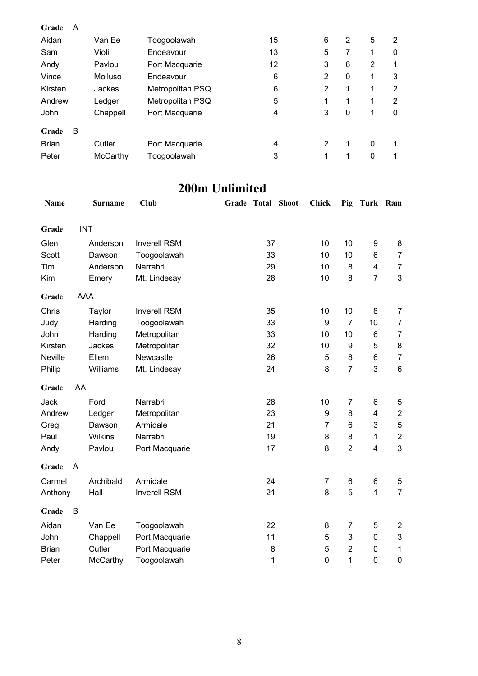| Grade<br>A   |                |                  |    |                |   |              |                |
|--------------|----------------|------------------|----|----------------|---|--------------|----------------|
| Aidan        | Van Ee         | Toogoolawah      | 15 | 6              | 2 | 5            | 2              |
| Sam          | Violi          | Endeavour        | 13 | 5              | 7 | 1            | 0              |
| Andy         | Pavlou         | Port Macquarie   | 12 | 3              | 6 | 2            | 1              |
| Vince        | <b>Molluso</b> | Endeavour        | 6  | $\overline{2}$ | 0 | 1            | 3              |
| Kirsten      | Jackes         | Metropolitan PSQ | 6  | 2              | 1 | 1            | 2              |
| Andrew       | Ledger         | Metropolitan PSQ | 5  | 1              | 1 | 1            | $\overline{2}$ |
| John         | Chappell       | Port Macquarie   | 4  | 3              | 0 | 1            | 0              |
| B<br>Grade   |                |                  |    |                |   |              |                |
| <b>Brian</b> | Cutler         | Port Macquarie   | 4  | 2              | 1 | $\mathbf{0}$ |                |
| Peter        | McCarthy       | Toogoolawah      | 3  | 1              | 1 | 0            |                |

#### **200m Unlimited**

| Name           | <b>Surname</b> | Club                | <b>Total Shoot</b><br>Grade | <b>Chick</b>   | Pig              | Turk Ram                |                  |
|----------------|----------------|---------------------|-----------------------------|----------------|------------------|-------------------------|------------------|
| Grade          | <b>INT</b>     |                     |                             |                |                  |                         |                  |
| Glen           | Anderson       | <b>Inverell RSM</b> | 37                          | 10             | 10               | 9                       | 8                |
| Scott          | Dawson         | Toogoolawah         | 33                          | 10             | 10               | 6                       | $\overline{7}$   |
| Tim            | Anderson       | Narrabri            | 29                          | 10             | 8                | $\overline{4}$          | $\overline{7}$   |
| Kim            | Emery          | Mt. Lindesay        | 28                          | 10             | 8                | $\overline{7}$          | 3                |
| Grade          | AAA            |                     |                             |                |                  |                         |                  |
| Chris          | Taylor         | <b>Inverell RSM</b> | 35                          | 10             | 10               | 8                       | $\overline{7}$   |
| Judy           | Harding        | Toogoolawah         | 33                          | 9              | $\overline{7}$   | 10                      | $\boldsymbol{7}$ |
| John           | Harding        | Metropolitan        | 33                          | 10             | 10               | 6                       | $\overline{7}$   |
| Kirsten        | Jackes         | Metropolitan        | 32                          | 10             | $\boldsymbol{9}$ | 5                       | 8                |
| <b>Neville</b> | Ellem          | Newcastle           | 26                          | 5              | 8                | 6                       | $\overline{7}$   |
| Philip         | Williams       | Mt. Lindesay        | 24                          | 8              | $\overline{7}$   | 3                       | 6                |
| Grade          | AA             |                     |                             |                |                  |                         |                  |
| Jack           | Ford           | Narrabri            | 28                          | 10             | $\overline{7}$   | 6                       | 5                |
| Andrew         | Ledger         | Metropolitan        | 23                          | 9              | 8                | $\overline{\mathbf{4}}$ | $\overline{c}$   |
| Greg           | Dawson         | Armidale            | 21                          | $\overline{7}$ | 6                | 3                       | 5                |
| Paul           | Wilkins        | Narrabri            | 19                          | 8              | 8                | $\mathbf{1}$            | $\overline{c}$   |
| Andy           | Pavlou         | Port Macquarie      | 17                          | 8              | $\overline{2}$   | 4                       | 3                |
| Grade          | A              |                     |                             |                |                  |                         |                  |
| Carmel         | Archibald      | Armidale            | 24                          | $\overline{7}$ | 6                | 6                       | 5                |
| Anthony        | Hall           | <b>Inverell RSM</b> | 21                          | 8              | 5                | 1                       | $\overline{7}$   |
| Grade          | B              |                     |                             |                |                  |                         |                  |
| Aidan          | Van Ee         | Toogoolawah         | 22                          | 8              | 7                | 5                       | 2                |
| John           | Chappell       | Port Macquarie      | 11                          | 5              | 3                | $\mathbf 0$             | 3                |
| <b>Brian</b>   | Cutler         | Port Macquarie      | 8                           | 5              | $\overline{2}$   | 0                       | 1                |
| Peter          | McCarthy       | Toogoolawah         | 1                           | $\overline{0}$ | $\mathbf{1}$     | $\overline{0}$          | $\mathbf 0$      |